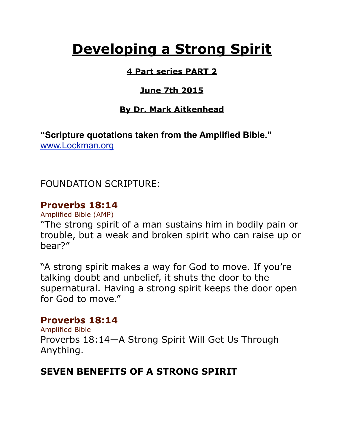# **Developing a Strong Spirit**

#### **4 Part series PART 2**

## **June 7th 2015**

### **By Dr. Mark Aitkenhead**

**"Scripture quotations taken from the Amplified Bible."**  [www.Lockman.org](http://www.lockman.org/tlf/pqform.php)

FOUNDATION SCRIPTURE:

## **Proverbs 18:14**

Amplified Bible (AMP)

"The strong spirit of a man sustains him in bodily pain or trouble, but a weak and broken spirit who can raise up or bear?"

"A strong spirit makes a way for God to move. If you're talking doubt and unbelief, it shuts the door to the supernatural. Having a strong spirit keeps the door open for God to move."

## **Proverbs 18:14**

Amplified Bible Proverbs 18:14—A Strong Spirit Will Get Us Through Anything.

# **SEVEN BENEFITS OF A STRONG SPIRIT**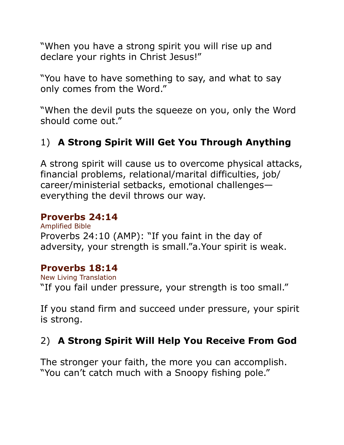"When you have a strong spirit you will rise up and declare your rights in Christ Jesus!"

"You have to have something to say, and what to say only comes from the Word."

"When the devil puts the squeeze on you, only the Word should come out."

# 1) **A Strong Spirit Will Get You Through Anything**

A strong spirit will cause us to overcome physical attacks, financial problems, relational/marital difficulties, job/ career/ministerial setbacks, emotional challenges everything the devil throws our way.

#### **Proverbs 24:14**

Amplified Bible Proverbs 24:10 (AMP): "If you faint in the day of adversity, your strength is small."a.Your spirit is weak.

#### **Proverbs 18:14**

New Living Translation "If you fail under pressure, your strength is too small."

If you stand firm and succeed under pressure, your spirit is strong.

# 2) **A Strong Spirit Will Help You Receive From God**

The stronger your faith, the more you can accomplish. "You can't catch much with a Snoopy fishing pole."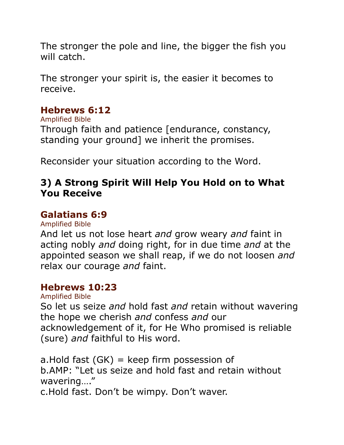The stronger the pole and line, the bigger the fish you will catch.

The stronger your spirit is, the easier it becomes to receive.

#### **Hebrews 6:12**

Amplified Bible Through faith and patience [endurance, constancy, standing your ground] we inherit the promises.

Reconsider your situation according to the Word.

## **3) A Strong Spirit Will Help You Hold on to What You Receive**

#### **Galatians 6:9**

Amplified Bible

And let us not lose heart *and* grow weary *and* faint in acting nobly *and* doing right, for in due time *and* at the appointed season we shall reap, if we do not loosen *and* relax our courage *and* faint.

#### **Hebrews 10:23**

#### Amplified Bible

So let us seize *and* hold fast *and* retain without wavering the hope we cherish *and* confess *and* our acknowledgement of it, for He Who promised is reliable (sure) *and* faithful to His word.

a. Hold fast  $(GK)$  = keep firm possession of b.AMP: "Let us seize and hold fast and retain without wavering…."

c.Hold fast. Don't be wimpy. Don't waver.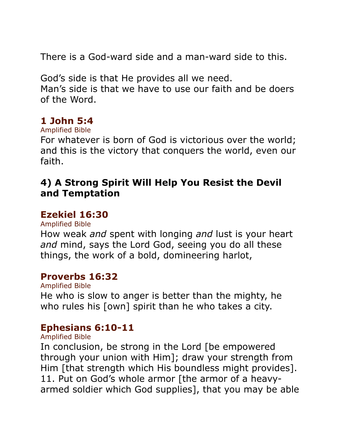There is a God-ward side and a man-ward side to this.

God's side is that He provides all we need. Man's side is that we have to use our faith and be doers of the Word.

#### **1 John 5:4**

#### Amplified Bible

For whatever is born of God is victorious over the world; and this is the victory that conquers the world, even our faith.

#### **4) A Strong Spirit Will Help You Resist the Devil and Temptation**

#### **Ezekiel 16:30**

Amplified Bible

How weak *and* spent with longing *and* lust is your heart *and* mind, says the Lord God, seeing you do all these things, the work of a bold, domineering harlot,

#### **Proverbs 16:32**

Amplified Bible He who is slow to anger is better than the mighty, he who rules his [own] spirit than he who takes a city.

## **Ephesians 6:10-11**

Amplified Bible

In conclusion, be strong in the Lord [be empowered through your union with Him]; draw your strength from Him [that strength which His boundless might provides]. 11. Put on God's whole armor [the armor of a heavyarmed soldier which God supplies], that you may be able